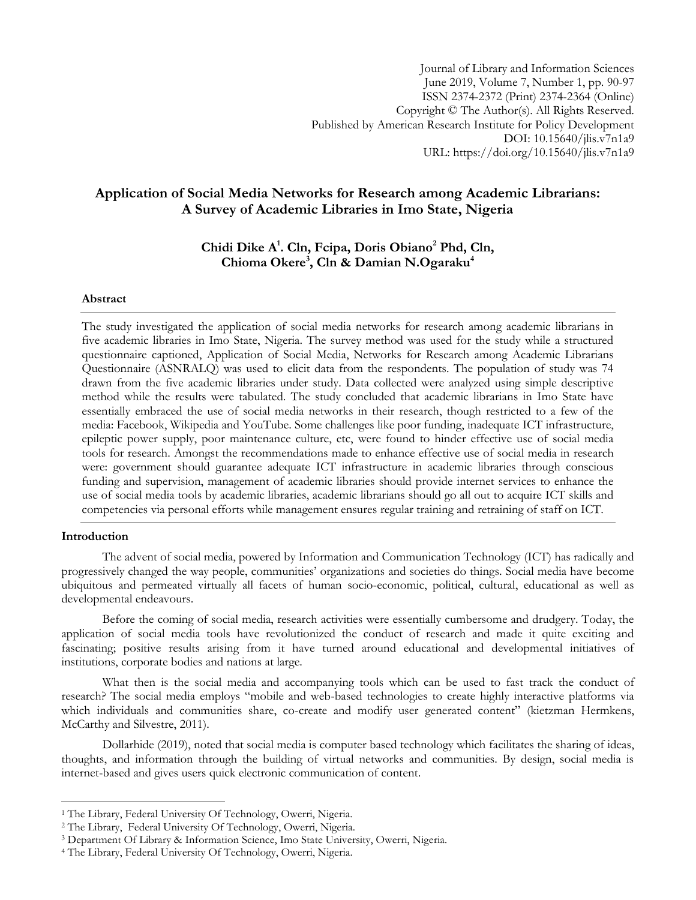# **Application of Social Media Networks for Research among Academic Librarians: A Survey of Academic Libraries in Imo State, Nigeria**

# **Chidi Dike A<sup>1</sup> . Cln, Fcipa, Doris Obiano<sup>2</sup> Phd, Cln, Chioma Okere<sup>3</sup> , Cln & Damian N.Ogaraku<sup>4</sup>**

# **Abstract**

The study investigated the application of social media networks for research among academic librarians in five academic libraries in Imo State, Nigeria. The survey method was used for the study while a structured questionnaire captioned, Application of Social Media, Networks for Research among Academic Librarians Questionnaire (ASNRALQ) was used to elicit data from the respondents. The population of study was 74 drawn from the five academic libraries under study. Data collected were analyzed using simple descriptive method while the results were tabulated. The study concluded that academic librarians in Imo State have essentially embraced the use of social media networks in their research, though restricted to a few of the media: Facebook, Wikipedia and YouTube. Some challenges like poor funding, inadequate ICT infrastructure, epileptic power supply, poor maintenance culture, etc, were found to hinder effective use of social media tools for research. Amongst the recommendations made to enhance effective use of social media in research were: government should guarantee adequate ICT infrastructure in academic libraries through conscious funding and supervision, management of academic libraries should provide internet services to enhance the use of social media tools by academic libraries, academic librarians should go all out to acquire ICT skills and competencies via personal efforts while management ensures regular training and retraining of staff on ICT.

## **Introduction**

l

The advent of social media, powered by Information and Communication Technology (ICT) has radically and progressively changed the way people, communities' organizations and societies do things. Social media have become ubiquitous and permeated virtually all facets of human socio-economic, political, cultural, educational as well as developmental endeavours.

Before the coming of social media, research activities were essentially cumbersome and drudgery. Today, the application of social media tools have revolutionized the conduct of research and made it quite exciting and fascinating; positive results arising from it have turned around educational and developmental initiatives of institutions, corporate bodies and nations at large.

What then is the social media and accompanying tools which can be used to fast track the conduct of research? The social media employs "mobile and web-based technologies to create highly interactive platforms via which individuals and communities share, co-create and modify user generated content" (kietzman Hermkens, McCarthy and Silvestre, 2011).

Dollarhide (2019), noted that social media is computer based technology which facilitates the sharing of ideas, thoughts, and information through the building of virtual networks and communities. By design, social media is internet-based and gives users quick electronic communication of content.

<sup>1</sup> The Library, Federal University Of Technology, Owerri, Nigeria.

<sup>2</sup> The Library, Federal University Of Technology, Owerri, Nigeria.

<sup>3</sup> Department Of Library & Information Science, Imo State University, Owerri, Nigeria.

<sup>4</sup> The Library, Federal University Of Technology, Owerri, Nigeria.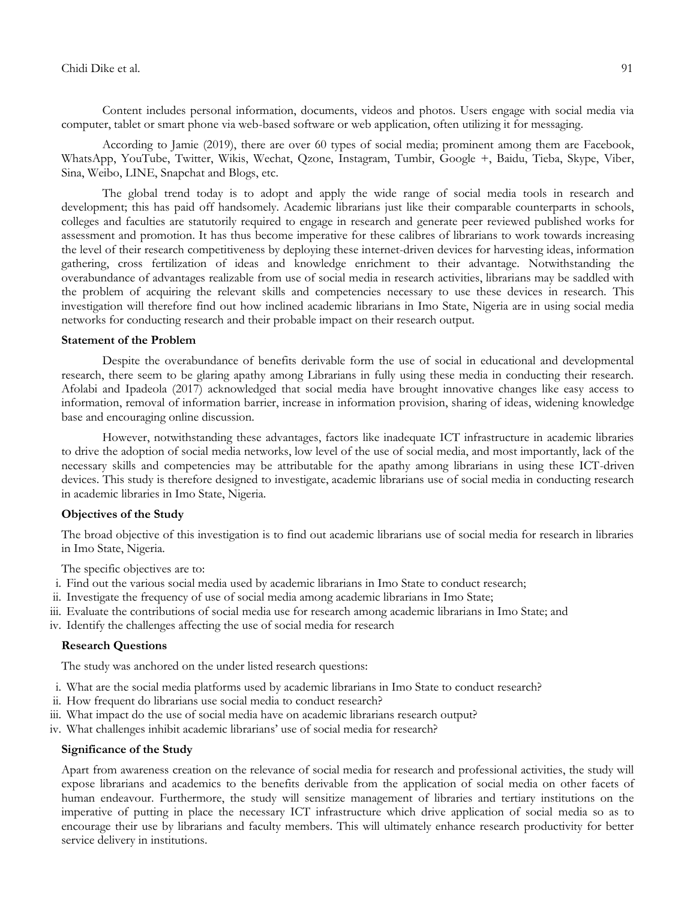## Chidi Dike et al. 91

Content includes personal information, documents, videos and photos. Users engage with social media via computer, tablet or smart phone via web-based software or web application, often utilizing it for messaging.

According to Jamie (2019), there are over 60 types of social media; prominent among them are Facebook, WhatsApp, YouTube, Twitter, Wikis, Wechat, Qzone, Instagram, Tumbir, Google +, Baidu, Tieba, Skype, Viber, Sina, Weibo, LINE, Snapchat and Blogs, etc.

The global trend today is to adopt and apply the wide range of social media tools in research and development; this has paid off handsomely. Academic librarians just like their comparable counterparts in schools, colleges and faculties are statutorily required to engage in research and generate peer reviewed published works for assessment and promotion. It has thus become imperative for these calibres of librarians to work towards increasing the level of their research competitiveness by deploying these internet-driven devices for harvesting ideas, information gathering, cross fertilization of ideas and knowledge enrichment to their advantage. Notwithstanding the overabundance of advantages realizable from use of social media in research activities, librarians may be saddled with the problem of acquiring the relevant skills and competencies necessary to use these devices in research. This investigation will therefore find out how inclined academic librarians in Imo State, Nigeria are in using social media networks for conducting research and their probable impact on their research output.

## **Statement of the Problem**

Despite the overabundance of benefits derivable form the use of social in educational and developmental research, there seem to be glaring apathy among Librarians in fully using these media in conducting their research. Afolabi and Ipadeola (2017) acknowledged that social media have brought innovative changes like easy access to information, removal of information barrier, increase in information provision, sharing of ideas, widening knowledge base and encouraging online discussion.

However, notwithstanding these advantages, factors like inadequate ICT infrastructure in academic libraries to drive the adoption of social media networks, low level of the use of social media, and most importantly, lack of the necessary skills and competencies may be attributable for the apathy among librarians in using these ICT-driven devices. This study is therefore designed to investigate, academic librarians use of social media in conducting research in academic libraries in Imo State, Nigeria.

## **Objectives of the Study**

The broad objective of this investigation is to find out academic librarians use of social media for research in libraries in Imo State, Nigeria.

The specific objectives are to:

- i. Find out the various social media used by academic librarians in Imo State to conduct research;
- ii. Investigate the frequency of use of social media among academic librarians in Imo State;
- iii. Evaluate the contributions of social media use for research among academic librarians in Imo State; and
- iv. Identify the challenges affecting the use of social media for research

## **Research Questions**

The study was anchored on the under listed research questions:

- i. What are the social media platforms used by academic librarians in Imo State to conduct research?
- ii. How frequent do librarians use social media to conduct research?
- iii. What impact do the use of social media have on academic librarians research output?
- iv. What challenges inhibit academic librarians' use of social media for research?

#### **Significance of the Study**

Apart from awareness creation on the relevance of social media for research and professional activities, the study will expose librarians and academics to the benefits derivable from the application of social media on other facets of human endeavour. Furthermore, the study will sensitize management of libraries and tertiary institutions on the imperative of putting in place the necessary ICT infrastructure which drive application of social media so as to encourage their use by librarians and faculty members. This will ultimately enhance research productivity for better service delivery in institutions.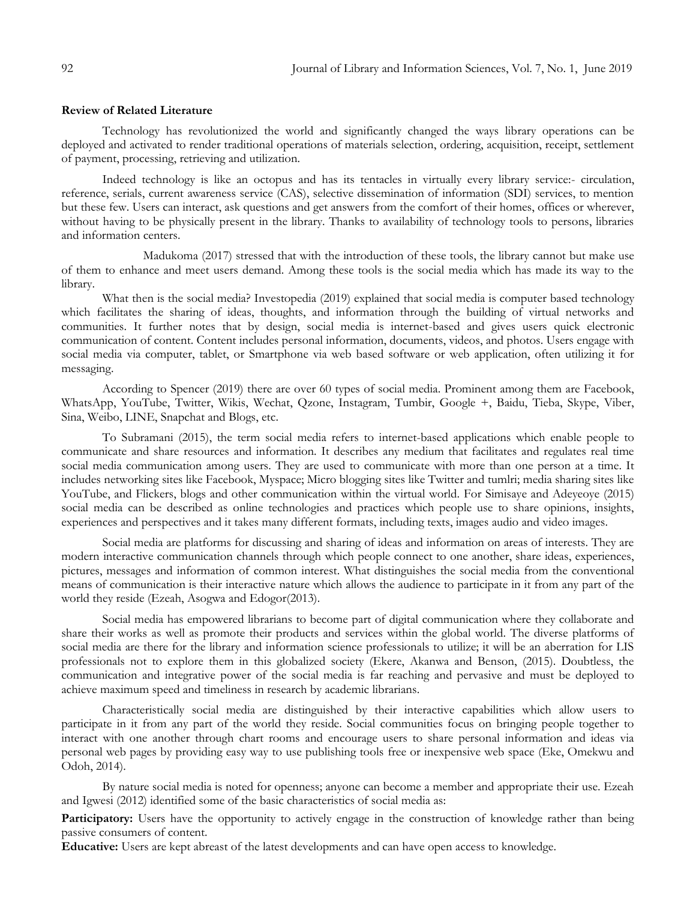#### **Review of Related Literature**

Technology has revolutionized the world and significantly changed the ways library operations can be deployed and activated to render traditional operations of materials selection, ordering, acquisition, receipt, settlement of payment, processing, retrieving and utilization.

Indeed technology is like an octopus and has its tentacles in virtually every library service:- circulation, reference, serials, current awareness service (CAS), selective dissemination of information (SDI) services, to mention but these few. Users can interact, ask questions and get answers from the comfort of their homes, offices or wherever, without having to be physically present in the library. Thanks to availability of technology tools to persons, libraries and information centers.

Madukoma (2017) stressed that with the introduction of these tools, the library cannot but make use of them to enhance and meet users demand. Among these tools is the social media which has made its way to the library.

What then is the social media? Investopedia (2019) explained that social media is computer based technology which facilitates the sharing of ideas, thoughts, and information through the building of virtual networks and communities. It further notes that by design, social media is internet-based and gives users quick electronic communication of content. Content includes personal information, documents, videos, and photos. Users engage with social media via computer, tablet, or Smartphone via web based software or web application, often utilizing it for messaging.

According to Spencer (2019) there are over 60 types of social media. Prominent among them are Facebook, WhatsApp, YouTube, Twitter, Wikis, Wechat, Qzone, Instagram, Tumbir, Google +, Baidu, Tieba, Skype, Viber, Sina, Weibo, LINE, Snapchat and Blogs, etc.

To Subramani (2015), the term social media refers to internet-based applications which enable people to communicate and share resources and information. It describes any medium that facilitates and regulates real time social media communication among users. They are used to communicate with more than one person at a time. It includes networking sites like Facebook, Myspace; Micro blogging sites like Twitter and tumlri; media sharing sites like YouTube, and Flickers, blogs and other communication within the virtual world. For Simisaye and Adeyeoye (2015) social media can be described as online technologies and practices which people use to share opinions, insights, experiences and perspectives and it takes many different formats, including texts, images audio and video images.

Social media are platforms for discussing and sharing of ideas and information on areas of interests. They are modern interactive communication channels through which people connect to one another, share ideas, experiences, pictures, messages and information of common interest. What distinguishes the social media from the conventional means of communication is their interactive nature which allows the audience to participate in it from any part of the world they reside (Ezeah, Asogwa and Edogor(2013).

Social media has empowered librarians to become part of digital communication where they collaborate and share their works as well as promote their products and services within the global world. The diverse platforms of social media are there for the library and information science professionals to utilize; it will be an aberration for LIS professionals not to explore them in this globalized society (Ekere, Akanwa and Benson, (2015). Doubtless, the communication and integrative power of the social media is far reaching and pervasive and must be deployed to achieve maximum speed and timeliness in research by academic librarians.

Characteristically social media are distinguished by their interactive capabilities which allow users to participate in it from any part of the world they reside. Social communities focus on bringing people together to interact with one another through chart rooms and encourage users to share personal information and ideas via personal web pages by providing easy way to use publishing tools free or inexpensive web space (Eke, Omekwu and Odoh, 2014).

By nature social media is noted for openness; anyone can become a member and appropriate their use. Ezeah and Igwesi (2012) identified some of the basic characteristics of social media as:

Participatory: Users have the opportunity to actively engage in the construction of knowledge rather than being passive consumers of content.

**Educative:** Users are kept abreast of the latest developments and can have open access to knowledge.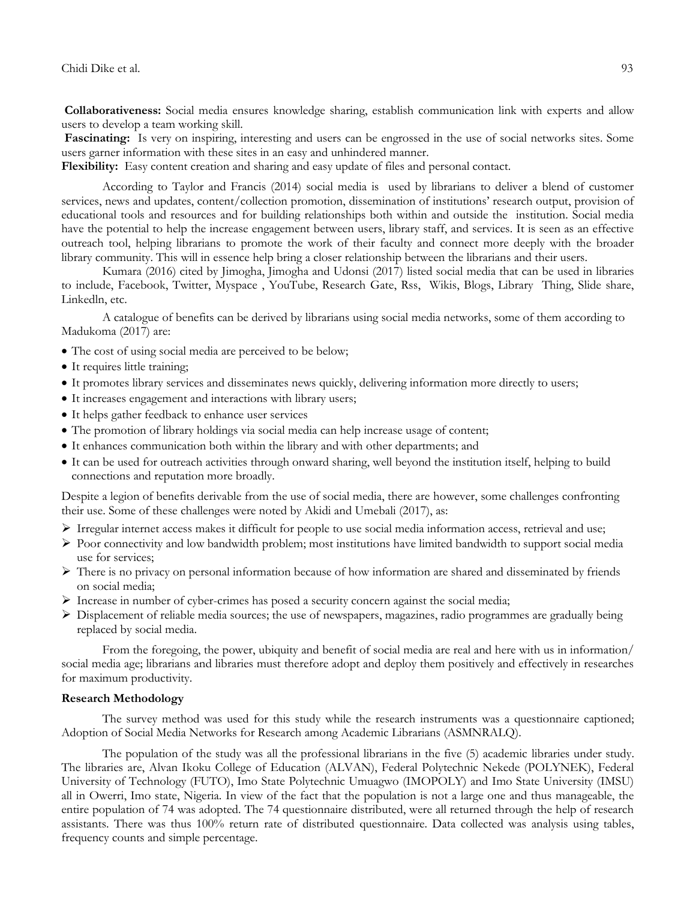**Collaborativeness:** Social media ensures knowledge sharing, establish communication link with experts and allow users to develop a team working skill.

**Fascinating:** Is very on inspiring, interesting and users can be engrossed in the use of social networks sites. Some users garner information with these sites in an easy and unhindered manner.

**Flexibility:** Easy content creation and sharing and easy update of files and personal contact.

According to Taylor and Francis (2014) social media is used by librarians to deliver a blend of customer services, news and updates, content/collection promotion, dissemination of institutions' research output, provision of educational tools and resources and for building relationships both within and outside the institution. Social media have the potential to help the increase engagement between users, library staff, and services. It is seen as an effective outreach tool, helping librarians to promote the work of their faculty and connect more deeply with the broader library community. This will in essence help bring a closer relationship between the librarians and their users.

Kumara (2016) cited by Jimogha, Jimogha and Udonsi (2017) listed social media that can be used in libraries to include, Facebook, Twitter, Myspace , YouTube, Research Gate, Rss, Wikis, Blogs, Library Thing, Slide share, Linkedln, etc.

A catalogue of benefits can be derived by librarians using social media networks, some of them according to Madukoma (2017) are:

- The cost of using social media are perceived to be below;
- It requires little training;
- It promotes library services and disseminates news quickly, delivering information more directly to users;
- It increases engagement and interactions with library users;
- It helps gather feedback to enhance user services
- The promotion of library holdings via social media can help increase usage of content;
- It enhances communication both within the library and with other departments; and
- It can be used for outreach activities through onward sharing, well beyond the institution itself, helping to build connections and reputation more broadly.

Despite a legion of benefits derivable from the use of social media, there are however, some challenges confronting their use. Some of these challenges were noted by Akidi and Umebali (2017), as:

- $\triangleright$  Irregular internet access makes it difficult for people to use social media information access, retrieval and use;
- $\triangleright$  Poor connectivity and low bandwidth problem; most institutions have limited bandwidth to support social media use for services;
- $\triangleright$  There is no privacy on personal information because of how information are shared and disseminated by friends on social media;
- $\triangleright$  Increase in number of cyber-crimes has posed a security concern against the social media;
- $\triangleright$  Displacement of reliable media sources; the use of newspapers, magazines, radio programmes are gradually being replaced by social media.

From the foregoing, the power, ubiquity and benefit of social media are real and here with us in information/ social media age; librarians and libraries must therefore adopt and deploy them positively and effectively in researches for maximum productivity.

#### **Research Methodology**

The survey method was used for this study while the research instruments was a questionnaire captioned; Adoption of Social Media Networks for Research among Academic Librarians (ASMNRALQ).

The population of the study was all the professional librarians in the five (5) academic libraries under study. The libraries are, Alvan Ikoku College of Education (ALVAN), Federal Polytechnic Nekede (POLYNEK), Federal University of Technology (FUTO), Imo State Polytechnic Umuagwo (IMOPOLY) and Imo State University (IMSU) all in Owerri, Imo state, Nigeria. In view of the fact that the population is not a large one and thus manageable, the entire population of 74 was adopted. The 74 questionnaire distributed, were all returned through the help of research assistants. There was thus 100% return rate of distributed questionnaire. Data collected was analysis using tables, frequency counts and simple percentage.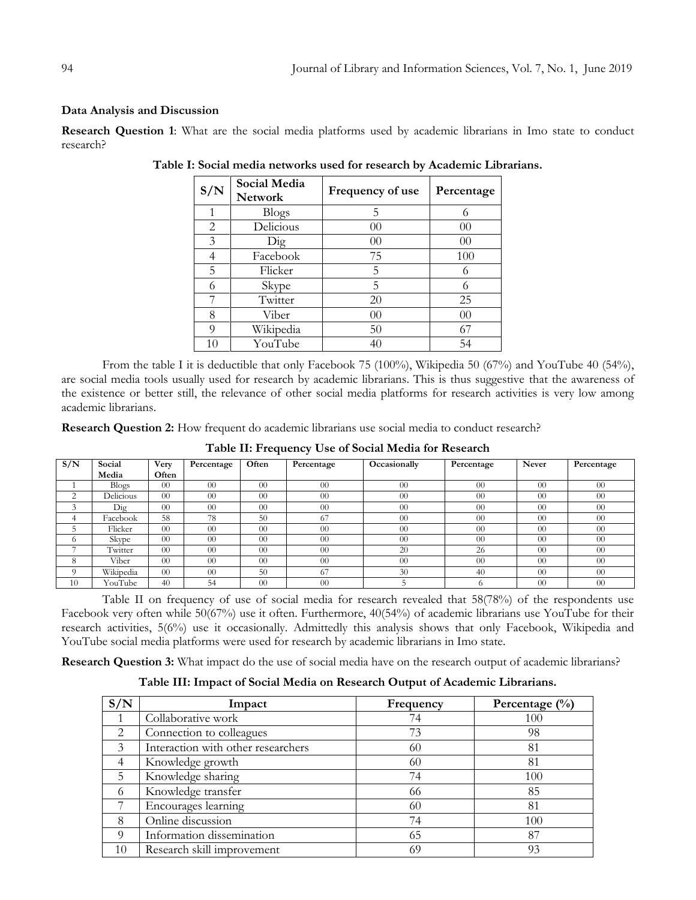# **Data Analysis and Discussion**

**Research Question 1**: What are the social media platforms used by academic librarians in Imo state to conduct research?

| S/N            | Social Media<br><b>Network</b> | Frequency of use | Percentage |
|----------------|--------------------------------|------------------|------------|
|                | <b>Blogs</b>                   | 5                | 6          |
| $\overline{2}$ | Delicious                      | $00\,$           | 00         |
| 3              | $\overline{\mathrm{Dig}}$      | $00\,$           | $00\,$     |
| 4              | Facebook                       | 75               | 100        |
| 5              | Flicker                        | 5                | 6          |
| 6              | Skype                          | 5                | 6          |
|                | Twitter                        | 20               | 25         |
| 8              | Viber                          | $00\,$           | 00         |
| 9              | Wikipedia                      | 50               | 67         |
| 10             | YouTube                        | 40               | 54         |

**Table I: Social media networks used for research by Academic Librarians.**

From the table I it is deductible that only Facebook 75 (100%), Wikipedia 50 (67%) and YouTube 40 (54%), are social media tools usually used for research by academic librarians. This is thus suggestive that the awareness of the existence or better still, the relevance of other social media platforms for research activities is very low among academic librarians.

**Research Question 2:** How frequent do academic librarians use social media to conduct research?

| S/N            | Social       | Very   | Percentage | Often          | Percentage | Occasionally   | Percentage | Never           | Percentage |
|----------------|--------------|--------|------------|----------------|------------|----------------|------------|-----------------|------------|
|                | Media        | Often  |            |                |            |                |            |                 |            |
|                | <b>Blogs</b> | $00\,$ | $00\,$     | 00             | 00         | 0 <sup>0</sup> | 00         | $\Omega$        | $00\,$     |
| ⌒              | Delicious    | $00\,$ | $00\,$     | 0 <sup>0</sup> | 00         | 0 <sup>0</sup> | 00         | 00              | $00\,$     |
| $\overline{ }$ | $\rm{Dig}$   | $00\,$ | $00\,$     | 0 <sup>0</sup> | 00         | 0 <sup>0</sup> | 00         | 00              | $00\,$     |
|                | Facebook     | 58     | 78         | 50             | 67         | 0 <sup>0</sup> | 00         | 00              | $00\,$     |
|                | Flicker      | $00\,$ | $00\,$     | 0 <sup>0</sup> | 00         | 0 <sup>0</sup> | 00         | 00              | 00         |
| 0              | Skype        | $00\,$ | $00\,$     | 0 <sup>0</sup> | 00         | 0 <sup>0</sup> | 00         | 00              | $00\,$     |
| -              | Twitter      | $00\,$ | $00\,$     | 0 <sup>0</sup> | 00         | 20             | 26         | 00              | $00\,$     |
| δ              | Viber        | $00\,$ | $00\,$     | 0 <sup>0</sup> | 00         | 0 <sup>0</sup> | 00         | 00              | $00\,$     |
| $\Omega$       | Wikipedia    | $00\,$ | $00\,$     | 50             | 67         | 30             | 40         | 00              | $00\,$     |
| 10             | YouTube      | 40     | 54         | 0 <sup>0</sup> | 00         |                |            | $\overline{00}$ | $00\,$     |

**Table II: Frequency Use of Social Media for Research**

Table II on frequency of use of social media for research revealed that 58(78%) of the respondents use Facebook very often while 50(67%) use it often. Furthermore, 40(54%) of academic librarians use YouTube for their research activities, 5(6%) use it occasionally. Admittedly this analysis shows that only Facebook, Wikipedia and YouTube social media platforms were used for research by academic librarians in Imo state.

**Research Question 3:** What impact do the use of social media have on the research output of academic librarians?

| S/N            | Impact                             | Frequency | Percentage $(\%)$ |
|----------------|------------------------------------|-----------|-------------------|
|                | Collaborative work                 | 74        | 100               |
| $\mathfrak{D}$ | Connection to colleagues           | 73        | 98                |
| 3              | Interaction with other researchers | 60        | 81                |
| 4              | Knowledge growth                   | 60        | 81                |
| 5              | Knowledge sharing                  | 74        | 100               |
| 6              | Knowledge transfer                 | 66        | 85                |
|                | Encourages learning                | 60        | 81                |
| 8              | Online discussion                  | 74        | 100               |
| Q              | Information dissemination          | 65        | 87                |
| 10             | Research skill improvement         | 69        | 93                |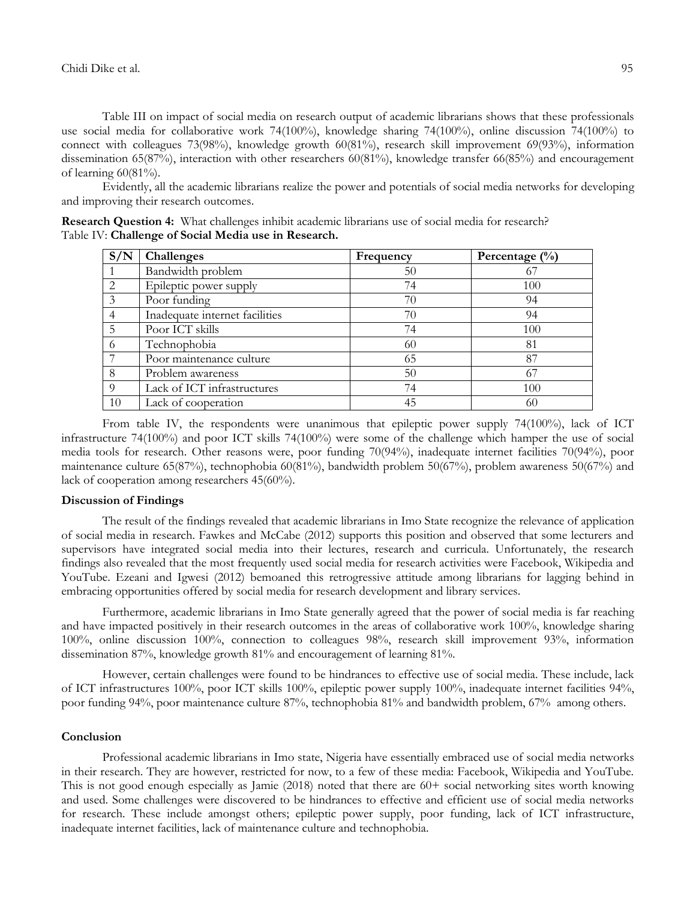Table III on impact of social media on research output of academic librarians shows that these professionals use social media for collaborative work 74(100%), knowledge sharing 74(100%), online discussion 74(100%) to connect with colleagues 73(98%), knowledge growth 60(81%), research skill improvement 69(93%), information dissemination 65(87%), interaction with other researchers 60(81%), knowledge transfer 66(85%) and encouragement of learning  $60(81\%)$ .

Evidently, all the academic librarians realize the power and potentials of social media networks for developing and improving their research outcomes.

| Research Question 4: What challenges inhibit academic librarians use of social media for research? |  |  |  |
|----------------------------------------------------------------------------------------------------|--|--|--|
| Table IV: Challenge of Social Media use in Research.                                               |  |  |  |

| S/N            | <b>Challenges</b>              | Frequency | Percentage $(\%)$ |
|----------------|--------------------------------|-----------|-------------------|
|                | Bandwidth problem              | 50        |                   |
| 2              | Epileptic power supply         | 74        | 100               |
| 3              | Poor funding                   | 70        | 94                |
| $\overline{4}$ | Inadequate internet facilities | 70        | 94                |
| 5              | Poor ICT skills                | 74        | 100               |
| -6             | Technophobia                   | 60        | 81                |
|                | Poor maintenance culture       | 65        | 87                |
| 8              | Problem awareness              | 50        | 67                |
| $\Omega$       | Lack of ICT infrastructures    | 74        | 100               |
| 10             | Lack of cooperation            | 45        | 60                |

From table IV, the respondents were unanimous that epileptic power supply 74(100%), lack of ICT infrastructure 74(100%) and poor ICT skills 74(100%) were some of the challenge which hamper the use of social media tools for research. Other reasons were, poor funding 70(94%), inadequate internet facilities 70(94%), poor maintenance culture 65(87%), technophobia 60(81%), bandwidth problem 50(67%), problem awareness 50(67%) and lack of cooperation among researchers 45(60%).

#### **Discussion of Findings**

The result of the findings revealed that academic librarians in Imo State recognize the relevance of application of social media in research. Fawkes and McCabe (2012) supports this position and observed that some lecturers and supervisors have integrated social media into their lectures, research and curricula. Unfortunately, the research findings also revealed that the most frequently used social media for research activities were Facebook, Wikipedia and YouTube. Ezeani and Igwesi (2012) bemoaned this retrogressive attitude among librarians for lagging behind in embracing opportunities offered by social media for research development and library services.

Furthermore, academic librarians in Imo State generally agreed that the power of social media is far reaching and have impacted positively in their research outcomes in the areas of collaborative work 100%, knowledge sharing 100%, online discussion 100%, connection to colleagues 98%, research skill improvement 93%, information dissemination 87%, knowledge growth 81% and encouragement of learning 81%.

However, certain challenges were found to be hindrances to effective use of social media. These include, lack of ICT infrastructures 100%, poor ICT skills 100%, epileptic power supply 100%, inadequate internet facilities 94%, poor funding 94%, poor maintenance culture 87%, technophobia 81% and bandwidth problem, 67% among others.

#### **Conclusion**

Professional academic librarians in Imo state, Nigeria have essentially embraced use of social media networks in their research. They are however, restricted for now, to a few of these media: Facebook, Wikipedia and YouTube. This is not good enough especially as Jamie (2018) noted that there are 60+ social networking sites worth knowing and used. Some challenges were discovered to be hindrances to effective and efficient use of social media networks for research. These include amongst others; epileptic power supply, poor funding, lack of ICT infrastructure, inadequate internet facilities, lack of maintenance culture and technophobia.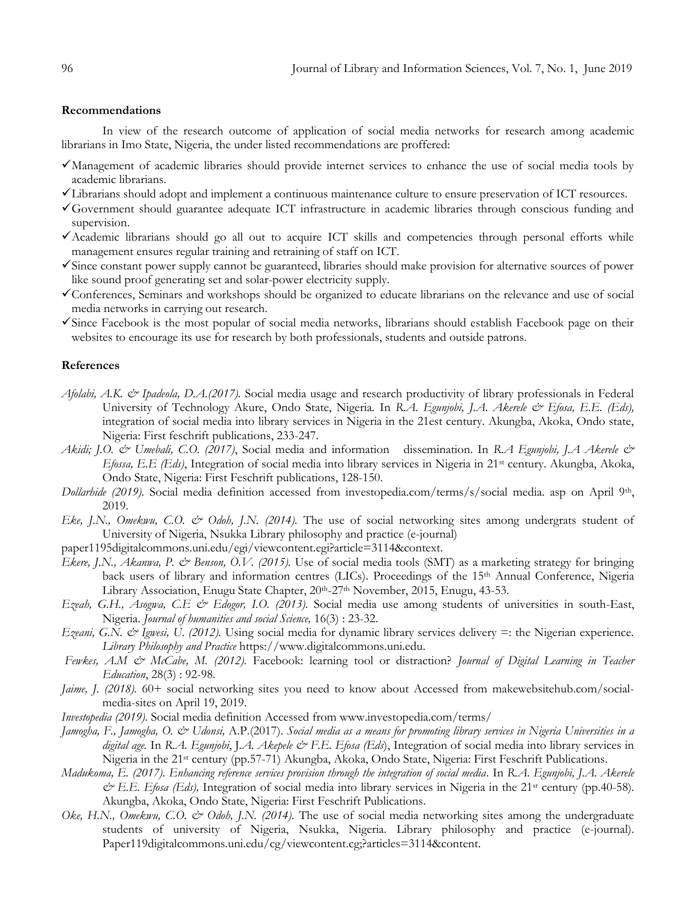# **Recommendations**

In view of the research outcome of application of social media networks for research among academic librarians in Imo State, Nigeria, the under listed recommendations are proffered:

- Management of academic libraries should provide internet services to enhance the use of social media tools by academic librarians.
- Librarians should adopt and implement a continuous maintenance culture to ensure preservation of ICT resources.
- Government should guarantee adequate ICT infrastructure in academic libraries through conscious funding and supervision.
- Academic librarians should go all out to acquire ICT skills and competencies through personal efforts while management ensures regular training and retraining of staff on ICT.
- Since constant power supply cannot be guaranteed, libraries should make provision for alternative sources of power like sound proof generating set and solar-power electricity supply.
- Conferences, Seminars and workshops should be organized to educate librarians on the relevance and use of social media networks in carrying out research.
- Since Facebook is the most popular of social media networks, librarians should establish Facebook page on their websites to encourage its use for research by both professionals, students and outside patrons.

#### **References**

- *Afolabi, A.K. & Ipadeola, D.A.(2017).* Social media usage and research productivity of library professionals in Federal University of Technology Akure, Ondo State, Nigeria*.* In *R.A. Egunjobi, J.A. Akerele & Efosa, E.E. (Eds),* integration of social media into library services in Nigeria in the 21est century. Akungba, Akoka, Ondo state, Nigeria: First feschrift publications, 233-247.
- *Akidi; J.O. & Umebali, C.O. (2017)*, Social media and information dissemination. In *R.A Egunjobi, J.A Akerele & Efossa, E.E (Eds)*, Integration of social media into library services in Nigeria in 21st century. Akungba, Akoka, Ondo State, Nigeria: First Feschrift publications, 128-150.
- *Dollarhide (2019)*. Social media definition accessed from investopedia.com/terms/s/social media. asp on April 9<sup>th</sup>, 2019.
- *Eke, J.N., Omekwu, C.O. & Odoh, J.N. (2014).* The use of social networking sites among undergrats student of University of Nigeria, Nsukka Library philosophy and practice (e-journal)
- paper1195digitalcommons.uni.edu/egi/viewcontent.egi?article=3114&context.
- *Ekere, J.N., Akanwa, P. & Benson, O.V. (2015).* Use of social media tools (SMT) as a marketing strategy for bringing back users of library and information centres (LICs). Proceedings of the 15<sup>th</sup> Annual Conference, Nigeria Library Association, Enugu State Chapter, 20<sup>th</sup>-27<sup>th</sup> November, 2015, Enugu, 43-53.
- *Ezeah, G.H., Asogwa, C.E & Edogor, I.O. (2013).* Social media use among students of universities in south-East, Nigeria. *Journal of humanities and social Science,* 16(3) : 23-32.
- *Ezeani, G.N. & Igwesi, U. (2012).* Using social media for dynamic library services delivery =: the Nigerian experience. *Library Philosophy and Practice* [https://www.digitalcommons.uni.edu.](https://www.digitalcommons.uni.edu/)
- *Fewkes, A.M & McCabe, M. (2012).* Facebook: learning tool or distraction? *Journal of Digital Learning in Teacher Education*, 28(3) : 92-98.
- *Jaime, J. (2018).* 60+ social networking sites you need to know about Accessed from makewebsitehub.com/socialmedia-sites on April 19, 2019.
- *Investopedia (2019).* Social media definition Accessed from [www.investopedia.com/terms/](http://www.investopedia.com/terms/)
- *Jamogha, F., Jamogha, O. & Udonsi,* A.P.(2017). *Social media as a means for promoting library services in Nigeria Universities in a digital age.* In *R.A. Egunjobi*, J*.A. Akepele & F.E. Efosa (Eds*), Integration of social media into library services in Nigeria in the 21st century (pp.57-71) Akungba, Akoka, Ondo State, Nigeria: First Feschrift Publications.
- *Madukoma, E. (2017). Enhancing reference services provision through the integration of social media*. In *R.A. Egunjobi, J.A. Akerele & E.E. Efosa (Eds),* Integration of social media into library services in Nigeria in the 21st century (pp.40-58). Akungba, Akoka, Ondo State, Nigeria: First Feschrift Publications.
- *Oke, H.N., Omekwu, C.O. & Odob, J.N. (2014)*. The use of social media networking sites among the undergraduate students of university of Nigeria, Nsukka, Nigeria. Library philosophy and practice (e-journal). Paper119digitalcommons.uni.edu/cg/viewcontent.cg;?articles=3114&content.